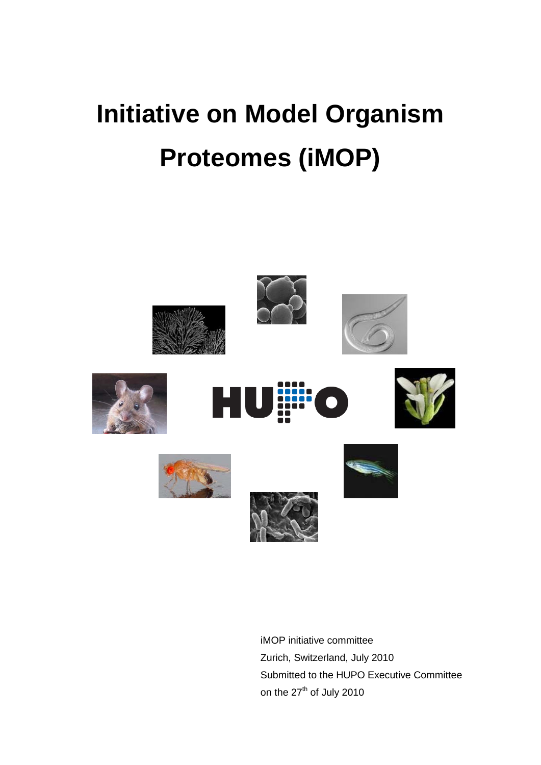# **Initiative on Model Organism Proteomes (iMOP)**



iMOP initiative committee Zurich, Switzerland, July 2010 Submitted to the HUPO Executive Committee on the 27<sup>th</sup> of July 2010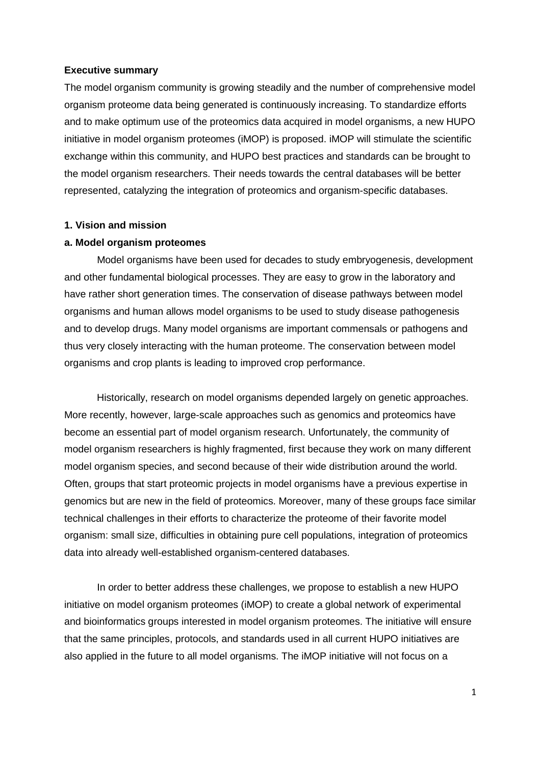#### **Executive summary**

The model organism community is growing steadily and the number of comprehensive model organism proteome data being generated is continuously increasing. To standardize efforts and to make optimum use of the proteomics data acquired in model organisms, a new HUPO initiative in model organism proteomes (iMOP) is proposed. iMOP will stimulate the scientific exchange within this community, and HUPO best practices and standards can be brought to the model organism researchers. Their needs towards the central databases will be better represented, catalyzing the integration of proteomics and organism-specific databases.

#### **1. Vision and mission**

#### **a. Model organism proteomes**

Model organisms have been used for decades to study embryogenesis, development and other fundamental biological processes. They are easy to grow in the laboratory and have rather short generation times. The conservation of disease pathways between model organisms and human allows model organisms to be used to study disease pathogenesis and to develop drugs. Many model organisms are important commensals or pathogens and thus very closely interacting with the human proteome. The conservation between model organisms and crop plants is leading to improved crop performance.

Historically, research on model organisms depended largely on genetic approaches. More recently, however, large-scale approaches such as genomics and proteomics have become an essential part of model organism research. Unfortunately, the community of model organism researchers is highly fragmented, first because they work on many different model organism species, and second because of their wide distribution around the world. Often, groups that start proteomic projects in model organisms have a previous expertise in genomics but are new in the field of proteomics. Moreover, many of these groups face similar technical challenges in their efforts to characterize the proteome of their favorite model organism: small size, difficulties in obtaining pure cell populations, integration of proteomics data into already well-established organism-centered databases.

In order to better address these challenges, we propose to establish a new HUPO initiative on model organism proteomes (iMOP) to create a global network of experimental and bioinformatics groups interested in model organism proteomes. The initiative will ensure that the same principles, protocols, and standards used in all current HUPO initiatives are also applied in the future to all model organisms. The iMOP initiative will not focus on a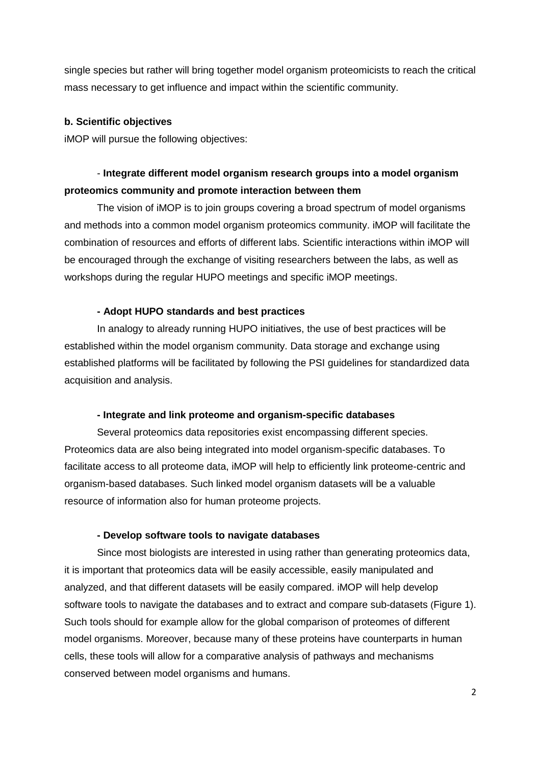single species but rather will bring together model organism proteomicists to reach the critical mass necessary to get influence and impact within the scientific community.

#### **b. Scientific objectives**

iMOP will pursue the following objectives:

## - **Integrate different model organism research groups into a model organism proteomics community and promote interaction between them**

The vision of iMOP is to join groups covering a broad spectrum of model organisms and methods into a common model organism proteomics community. iMOP will facilitate the combination of resources and efforts of different labs. Scientific interactions within iMOP will be encouraged through the exchange of visiting researchers between the labs, as well as workshops during the regular HUPO meetings and specific iMOP meetings.

#### **- Adopt HUPO standards and best practices**

In analogy to already running HUPO initiatives, the use of best practices will be established within the model organism community. Data storage and exchange using established platforms will be facilitated by following the PSI guidelines for standardized data acquisition and analysis.

#### **- Integrate and link proteome and organism-specific databases**

Several proteomics data repositories exist encompassing different species. Proteomics data are also being integrated into model organism-specific databases. To facilitate access to all proteome data, iMOP will help to efficiently link proteome-centric and organism-based databases. Such linked model organism datasets will be a valuable resource of information also for human proteome projects.

#### **- Develop software tools to navigate databases**

Since most biologists are interested in using rather than generating proteomics data, it is important that proteomics data will be easily accessible, easily manipulated and analyzed, and that different datasets will be easily compared. iMOP will help develop software tools to navigate the databases and to extract and compare sub-datasets (Figure 1). Such tools should for example allow for the global comparison of proteomes of different model organisms. Moreover, because many of these proteins have counterparts in human cells, these tools will allow for a comparative analysis of pathways and mechanisms conserved between model organisms and humans.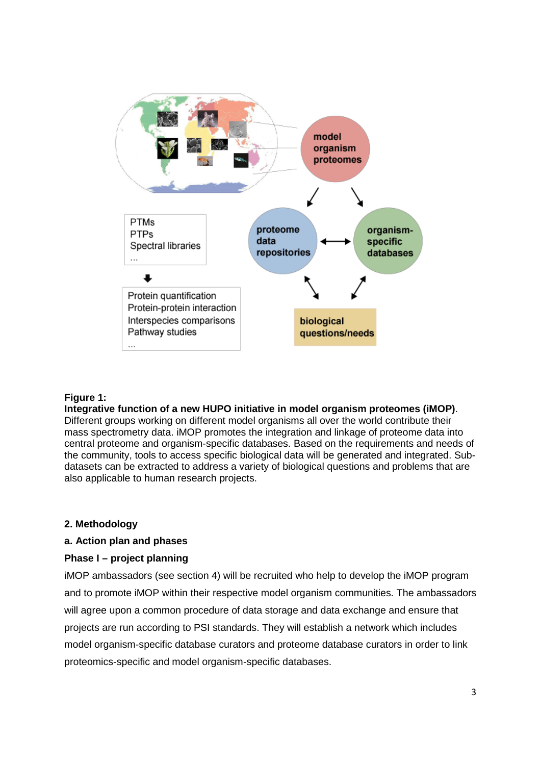

#### **Figure 1:**

#### **Integrative function of a new HUPO initiative in model organism proteomes (iMOP)**.

Different groups working on different model organisms all over the world contribute their mass spectrometry data. iMOP promotes the integration and linkage of proteome data into central proteome and organism-specific databases. Based on the requirements and needs of the community, tools to access specific biological data will be generated and integrated. Subdatasets can be extracted to address a variety of biological questions and problems that are also applicable to human research projects.

#### **2. Methodology**

#### **a. Action plan and phases**

#### **Phase I – project planning**

iMOP ambassadors (see section 4) will be recruited who help to develop the iMOP program and to promote iMOP within their respective model organism communities. The ambassadors will agree upon a common procedure of data storage and data exchange and ensure that projects are run according to PSI standards. They will establish a network which includes model organism-specific database curators and proteome database curators in order to link proteomics-specific and model organism-specific databases.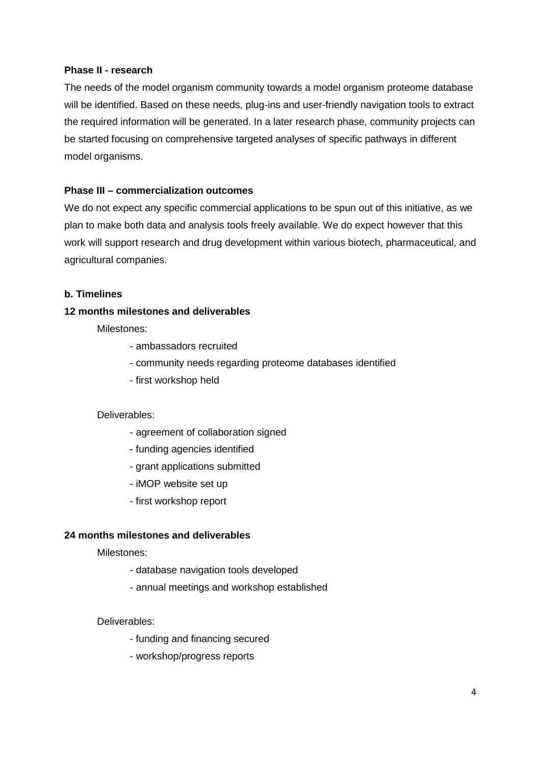#### **Phase II - research**

The needs of the model organism community towards a model organism proteome database will be identified. Based on these needs, plug-ins and user-friendly navigation tools to extract the required information will be generated. In a later research phase, community projects can be started focusing on comprehensive targeted analyses of specific pathways in different model organisms.

### **Phase III – commercialization outcomes**

We do not expect any specific commercial applications to be spun out of this initiative, as we plan to make both data and analysis tools freely available. We do expect however that this work will support research and drug development within various biotech, pharmaceutical, and agricultural companies.

#### **b. Timelines**

#### **12 months milestones and deliverables**

Milestones:

- ambassadors recruited
- community needs regarding proteome databases identified
- first workshop held

#### Deliverables:

- agreement of collaboration signed
- funding agencies identified
- grant applications submitted
- iMOP website set up
- first workshop report

#### **24 months milestones and deliverables**

#### Milestones:

- database navigation tools developed
- annual meetings and workshop established

#### Deliverables:

- funding and financing secured
- workshop/progress reports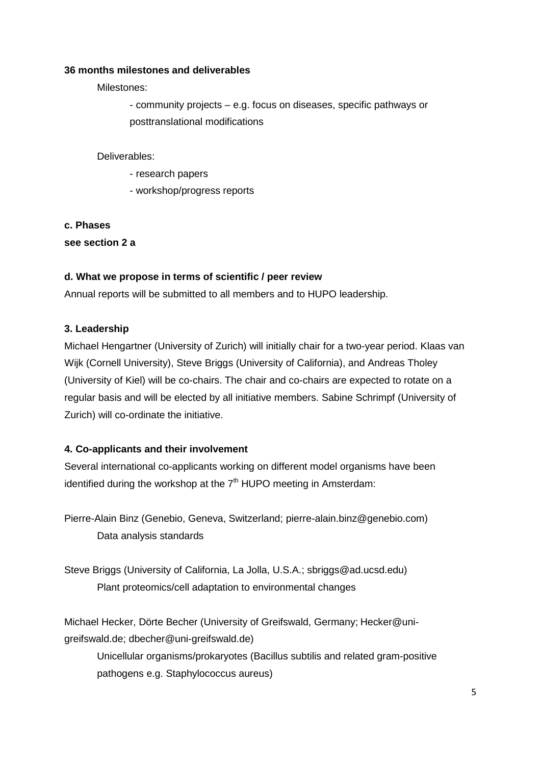#### **36 months milestones and deliverables**

Milestones:

- community projects – e.g. focus on diseases, specific pathways or posttranslational modifications

Deliverables:

- research papers
- workshop/progress reports

**c. Phases see section 2 a** 

## **d. What we propose in terms of scientific / peer review**

Annual reports will be submitted to all members and to HUPO leadership.

## **3. Leadership**

Michael Hengartner (University of Zurich) will initially chair for a two-year period. Klaas van Wijk (Cornell University), Steve Briggs (University of California), and Andreas Tholey (University of Kiel) will be co-chairs. The chair and co-chairs are expected to rotate on a regular basis and will be elected by all initiative members. Sabine Schrimpf (University of Zurich) will co-ordinate the initiative.

## **4. Co-applicants and their involvement**

Several international co-applicants working on different model organisms have been identified during the workshop at the  $7<sup>th</sup>$  HUPO meeting in Amsterdam:

Pierre-Alain Binz (Genebio, Geneva, Switzerland; pierre-alain.binz@genebio.com) Data analysis standards

Steve Briggs (University of California, La Jolla, U.S.A.; sbriggs@ad.ucsd.edu) Plant proteomics/cell adaptation to environmental changes

Michael Hecker, Dörte Becher (University of Greifswald, Germany; Hecker@unigreifswald.de; dbecher@uni-greifswald.de)

Unicellular organisms/prokaryotes (Bacillus subtilis and related gram-positive pathogens e.g. Staphylococcus aureus)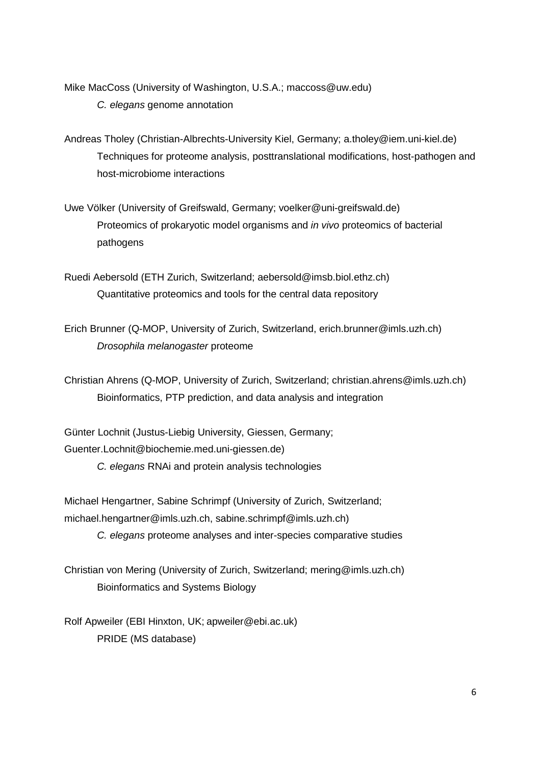Mike MacCoss (University of Washington, U.S.A.; maccoss@uw.edu) *C. elegans* genome annotation

Andreas Tholey (Christian-Albrechts-University Kiel, Germany; a.tholey@iem.uni-kiel.de) Techniques for proteome analysis, posttranslational modifications, host-pathogen and host-microbiome interactions

Uwe Völker (University of Greifswald, Germany; voelker@uni-greifswald.de) Proteomics of prokaryotic model organisms and *in vivo* proteomics of bacterial pathogens

Ruedi Aebersold (ETH Zurich, Switzerland; aebersold@imsb.biol.ethz.ch) Quantitative proteomics and tools for the central data repository

Erich Brunner (Q-MOP, University of Zurich, Switzerland, erich.brunner@imls.uzh.ch) *Drosophila melanogaster* proteome

Christian Ahrens (Q-MOP, University of Zurich, Switzerland; christian.ahrens@imls.uzh.ch) Bioinformatics, PTP prediction, and data analysis and integration

Günter Lochnit (Justus-Liebig University, Giessen, Germany; Guenter.Lochnit@biochemie.med.uni-giessen.de) *C. elegans* RNAi and protein analysis technologies

Michael Hengartner, Sabine Schrimpf (University of Zurich, Switzerland; michael.hengartner@imls.uzh.ch, sabine.schrimpf@imls.uzh.ch)

*C. elegans* proteome analyses and inter-species comparative studies

Christian von Mering (University of Zurich, Switzerland; mering@imls.uzh.ch) Bioinformatics and Systems Biology

Rolf Apweiler (EBI Hinxton, UK; apweiler@ebi.ac.uk) PRIDE (MS database)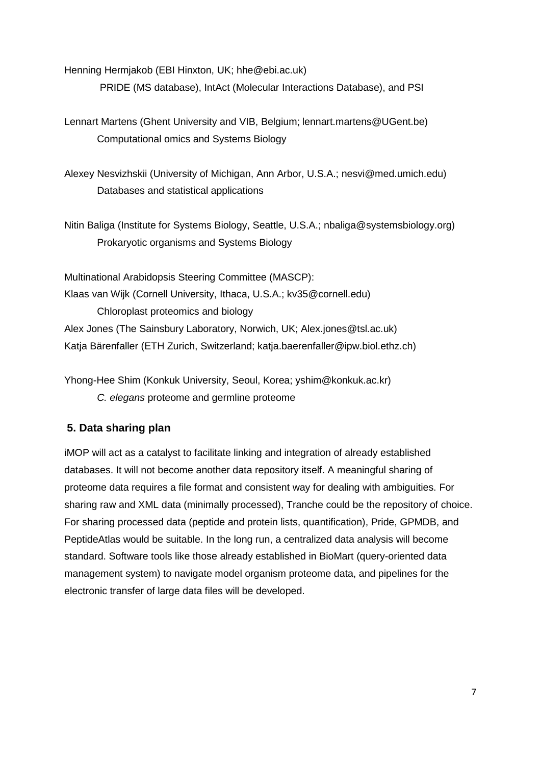Henning Hermjakob (EBI Hinxton, UK; hhe@ebi.ac.uk)

PRIDE (MS database), IntAct (Molecular Interactions Database), and PSI

Lennart Martens (Ghent University and VIB, Belgium; lennart.martens@UGent.be) Computational omics and Systems Biology

Alexey Nesvizhskii (University of Michigan, Ann Arbor, U.S.A.; nesvi@med.umich.edu) Databases and statistical applications

Nitin Baliga (Institute for Systems Biology, Seattle, U.S.A.; nbaliga@systemsbiology.org) Prokaryotic organisms and Systems Biology

Multinational Arabidopsis Steering Committee (MASCP): Klaas van Wijk (Cornell University, Ithaca, U.S.A.; kv35@cornell.edu) Chloroplast proteomics and biology Alex Jones (The Sainsbury Laboratory, Norwich, UK; Alex.jones@tsl.ac.uk) Katja Bärenfaller (ETH Zurich, Switzerland; katja.baerenfaller@ipw.biol.ethz.ch)

Yhong-Hee Shim (Konkuk University, Seoul, Korea; yshim@konkuk.ac.kr) *C. elegans* proteome and germline proteome

# **5. Data sharing plan**

iMOP will act as a catalyst to facilitate linking and integration of already established databases. It will not become another data repository itself. A meaningful sharing of proteome data requires a file format and consistent way for dealing with ambiguities. For sharing raw and XML data (minimally processed), Tranche could be the repository of choice. For sharing processed data (peptide and protein lists, quantification), Pride, GPMDB, and PeptideAtlas would be suitable. In the long run, a centralized data analysis will become standard. Software tools like those already established in BioMart (query-oriented data management system) to navigate model organism proteome data, and pipelines for the electronic transfer of large data files will be developed.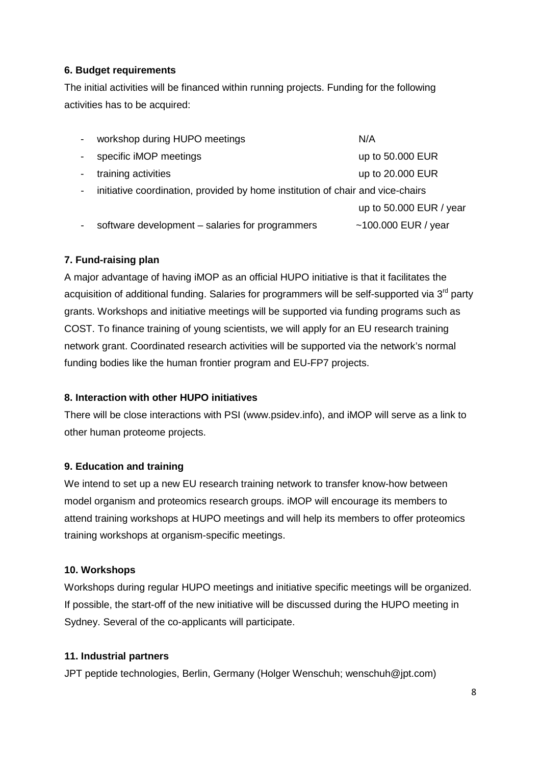## **6. Budget requirements**

The initial activities will be financed within running projects. Funding for the following activities has to be acquired:

| workshop during HUPO meetings                                                  | N/A                     |
|--------------------------------------------------------------------------------|-------------------------|
| specific iMOP meetings                                                         | up to 50.000 EUR        |
| training activities                                                            | up to 20.000 EUR        |
| initiative coordination, provided by home institution of chair and vice-chairs |                         |
|                                                                                | up to 50.000 EUR / year |
| software development – salaries for programmers                                | ~100.000 EUR / year     |

## **7. Fund-raising plan**

A major advantage of having iMOP as an official HUPO initiative is that it facilitates the acquisition of additional funding. Salaries for programmers will be self-supported via  $3<sup>rd</sup>$  party grants. Workshops and initiative meetings will be supported via funding programs such as COST. To finance training of young scientists, we will apply for an EU research training network grant. Coordinated research activities will be supported via the network's normal funding bodies like the human frontier program and EU-FP7 projects.

## **8. Interaction with other HUPO initiatives**

There will be close interactions with PSI (www.psidev.info), and iMOP will serve as a link to other human proteome projects.

## **9. Education and training**

We intend to set up a new EU research training network to transfer know-how between model organism and proteomics research groups. iMOP will encourage its members to attend training workshops at HUPO meetings and will help its members to offer proteomics training workshops at organism-specific meetings.

## **10. Workshops**

Workshops during regular HUPO meetings and initiative specific meetings will be organized. If possible, the start-off of the new initiative will be discussed during the HUPO meeting in Sydney. Several of the co-applicants will participate.

## **11. Industrial partners**

JPT peptide technologies, Berlin, Germany (Holger Wenschuh; wenschuh@jpt.com)